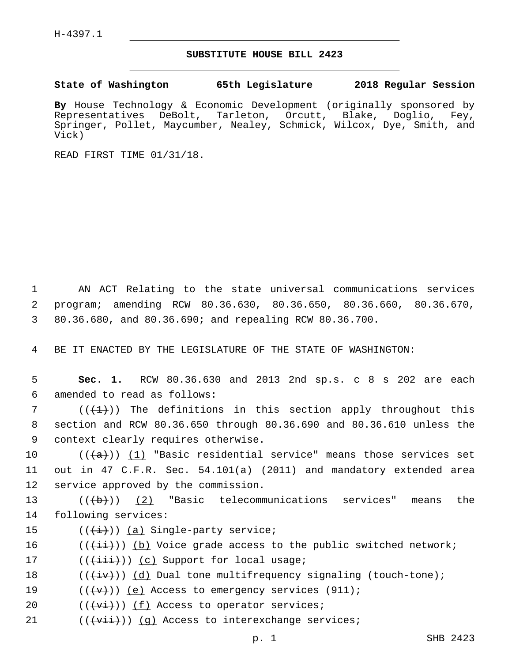## **SUBSTITUTE HOUSE BILL 2423**

**State of Washington 65th Legislature 2018 Regular Session**

**By** House Technology & Economic Development (originally sponsored by Representatives DeBolt, Tarleton, Orcutt, Blake, Doglio, Fey, Springer, Pollet, Maycumber, Nealey, Schmick, Wilcox, Dye, Smith, and Vick)

READ FIRST TIME 01/31/18.

1 AN ACT Relating to the state universal communications services 2 program; amending RCW 80.36.630, 80.36.650, 80.36.660, 80.36.670, 3 80.36.680, and 80.36.690; and repealing RCW 80.36.700.

4 BE IT ENACTED BY THE LEGISLATURE OF THE STATE OF WASHINGTON:

5 **Sec. 1.** RCW 80.36.630 and 2013 2nd sp.s. c 8 s 202 are each amended to read as follows:6

7 ( $(\overline{+1})$ ) The definitions in this section apply throughout this 8 section and RCW 80.36.650 through 80.36.690 and 80.36.610 unless the 9 context clearly requires otherwise.

10  $((+a))$   $(1)$  "Basic residential service" means those services set 11 out in 47 C.F.R. Sec. 54.101(a) (2011) and mandatory extended area 12 service approved by the commission.

13  $((+b))$  (2) "Basic telecommunications services" means the 14 following services:

15  $((\overrightarrow{i}))$   $(a)$  Single-party service;

16  $((\overrightarrow{4i}))$  (b) Voice grade access to the public switched network;

17 (( $(i+1+i)$ ) (c) Support for local usage;

18  $((\overline{+iv}))(d)$  Dual tone multifrequency signaling (touch-tone);

19  $((\{\mathbf{v}\})\)$  (e) Access to emergency services (911);

- 20  $((\overline{\mathbf{v}\mathbf{i}}))$  (f) Access to operator services;
- 21  $((\overrightarrow{v\texttt{iii}}))$  (g) Access to interexchange services;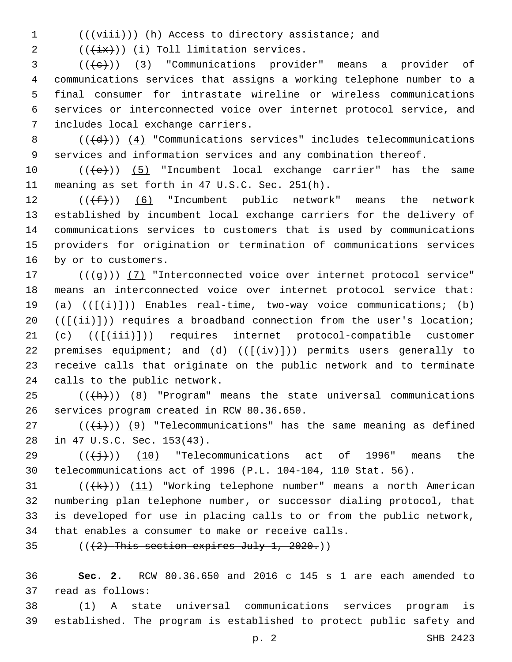1 (((+viii))) (h) Access to directory assistance; and

2  $((\overleftrightarrow{ix}))$   $(i)$  Toll limitation services.

 ( $(\text{+e})$ ) (3) "Communications provider" means a provider of communications services that assigns a working telephone number to a final consumer for intrastate wireline or wireless communications services or interconnected voice over internet protocol service, and 7 includes local exchange carriers.

8  $((+d))$   $(4)$  "Communications services" includes telecommunications 9 services and information services and any combination thereof.

10  $((+e))$   $(5)$  "Incumbent local exchange carrier" has the same 11 meaning as set forth in 47 U.S.C. Sec. 251(h).

 $((\text{+f-}))(6)$  "Incumbent public network" means the network established by incumbent local exchange carriers for the delivery of communications services to customers that is used by communications providers for origination or termination of communications services 16 by or to customers.

17 (((g)) (7) "Interconnected voice over internet protocol service" 18 means an interconnected voice over internet protocol service that: 19 (a)  $(\{\{\dagger\} \})$  Enables real-time, two-way voice communications; (b) 20  $((\{\overrightarrow{\{\pm1}}\})$  requires a broadband connection from the user's location; 21 (c) (( $\{\frac{1}{i}$ ii)) requires internet protocol-compatible customer 22 premises equipment; and (d)  $((\{\text{div}\})$ ) permits users generally to 23 receive calls that originate on the public network and to terminate 24 calls to the public network.

 $25$  (( $\frac{h}{h}$ )) (8) "Program" means the state universal communications 26 services program created in RCW 80.36.650.

27 ( $(\frac{1}{i})$ ) (9) "Telecommunications" has the same meaning as defined 28 in 47 U.S.C. Sec. 153(43).

29  $((\{\dagger\})$  (10) "Telecommunications act of 1996" means the 30 telecommunications act of 1996 (P.L. 104-104, 110 Stat. 56).

 $((\{k\})$  (11) "Working telephone number" means a north American numbering plan telephone number, or successor dialing protocol, that is developed for use in placing calls to or from the public network, 34 that enables a consumer to make or receive calls.

35  $((2)$  This section expires July 1, 2020.)

36 **Sec. 2.** RCW 80.36.650 and 2016 c 145 s 1 are each amended to read as follows:37

38 (1) A state universal communications services program is 39 established. The program is established to protect public safety and

p. 2 SHB 2423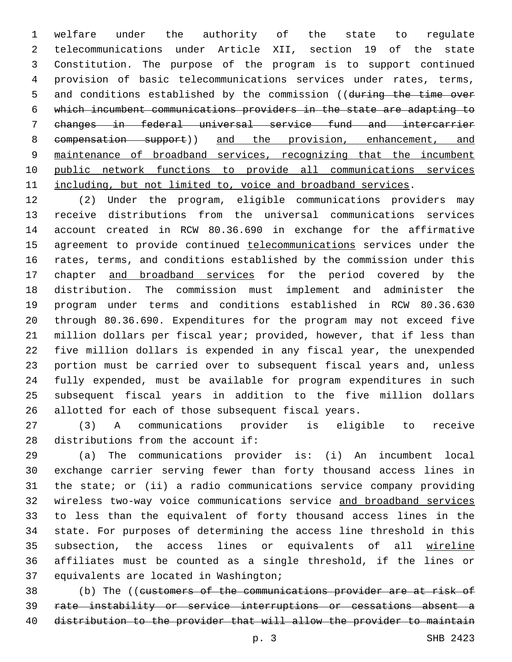welfare under the authority of the state to regulate telecommunications under Article XII, section 19 of the state Constitution. The purpose of the program is to support continued provision of basic telecommunications services under rates, terms, 5 and conditions established by the commission ((during the time over which incumbent communications providers in the state are adapting to changes in federal universal service fund and intercarrier compensation support)) and the provision, enhancement, and maintenance of broadband services, recognizing that the incumbent public network functions to provide all communications services 11 including, but not limited to, voice and broadband services.

 (2) Under the program, eligible communications providers may receive distributions from the universal communications services account created in RCW 80.36.690 in exchange for the affirmative 15 agreement to provide continued telecommunications services under the rates, terms, and conditions established by the commission under this 17 chapter and broadband services for the period covered by the distribution. The commission must implement and administer the program under terms and conditions established in RCW 80.36.630 through 80.36.690. Expenditures for the program may not exceed five million dollars per fiscal year; provided, however, that if less than five million dollars is expended in any fiscal year, the unexpended portion must be carried over to subsequent fiscal years and, unless fully expended, must be available for program expenditures in such subsequent fiscal years in addition to the five million dollars allotted for each of those subsequent fiscal years.

 (3) A communications provider is eligible to receive distributions from the account if:

 (a) The communications provider is: (i) An incumbent local exchange carrier serving fewer than forty thousand access lines in the state; or (ii) a radio communications service company providing wireless two-way voice communications service and broadband services to less than the equivalent of forty thousand access lines in the state. For purposes of determining the access line threshold in this 35 subsection, the access lines or equivalents of all wireline affiliates must be counted as a single threshold, if the lines or 37 equivalents are located in Washington;

 (b) The ((customers of the communications provider are at risk of rate instability or service interruptions or cessations absent a distribution to the provider that will allow the provider to maintain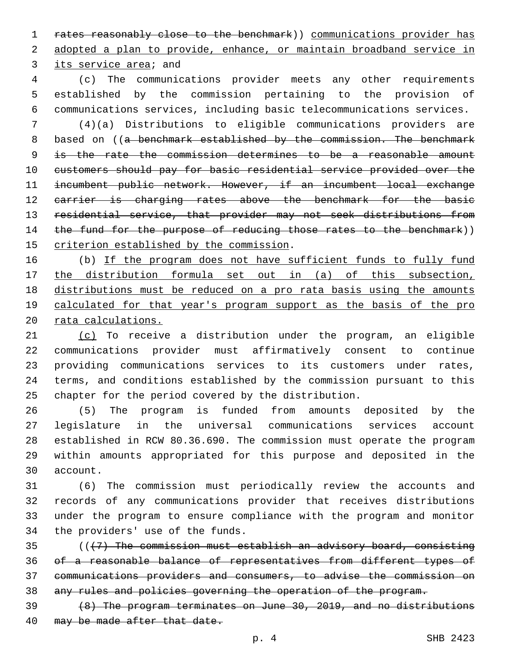1 rates reasonably close to the benchmark)) communications provider has adopted a plan to provide, enhance, or maintain broadband service in 3 its service area; and

 (c) The communications provider meets any other requirements established by the commission pertaining to the provision of communications services, including basic telecommunications services.

 (4)(a) Distributions to eligible communications providers are 8 based on ((a benchmark established by the commission. The benchmark is the rate the commission determines to be a reasonable amount customers should pay for basic residential service provided over the incumbent public network. However, if an incumbent local exchange 12 carrier is charging rates above the benchmark for the basic residential service, that provider may not seek distributions from 14 the fund for the purpose of reducing those rates to the benchmark)) 15 criterion established by the commission.

16 (b) If the program does not have sufficient funds to fully fund the distribution formula set out in (a) of this subsection, distributions must be reduced on a pro rata basis using the amounts 19 calculated for that year's program support as the basis of the pro rata calculations.

 (c) To receive a distribution under the program, an eligible communications provider must affirmatively consent to continue providing communications services to its customers under rates, terms, and conditions established by the commission pursuant to this chapter for the period covered by the distribution.

 (5) The program is funded from amounts deposited by the legislature in the universal communications services account established in RCW 80.36.690. The commission must operate the program within amounts appropriated for this purpose and deposited in the account.30

 (6) The commission must periodically review the accounts and records of any communications provider that receives distributions under the program to ensure compliance with the program and monitor 34 the providers' use of the funds.

 (((7) The commission must establish an advisory board, consisting of a reasonable balance of representatives from different types of communications providers and consumers, to advise the commission on any rules and policies governing the operation of the program.

 (8) The program terminates on June 30, 2019, and no distributions 40 may be made after that date.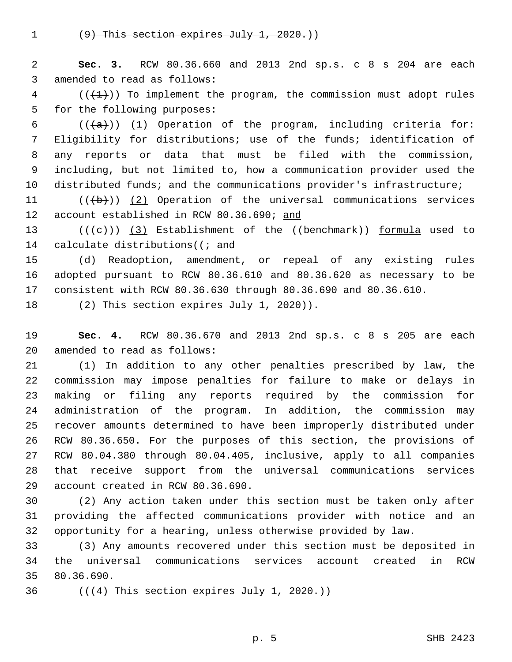(9) This section expires July 1, 2020.))

 **Sec. 3.** RCW 80.36.660 and 2013 2nd sp.s. c 8 s 204 are each 3 amended to read as follows:

 ( $(\overline{+1})$ ) To implement the program, the commission must adopt rules 5 for the following purposes:

 $((+a))$  (1) Operation of the program, including criteria for: Eligibility for distributions; use of the funds; identification of any reports or data that must be filed with the commission, including, but not limited to, how a communication provider used the distributed funds; and the communications provider's infrastructure;

11  $((+b))$   $(2)$  Operation of the universal communications services 12 account established in RCW 80.36.690; and

13 (((+e)) (3) Establishment of the ((benehmark)) formula used to 14 calculate distributions ( $\ell \dot{t}$  and

 (d) Readoption, amendment, or repeal of any existing rules adopted pursuant to RCW 80.36.610 and 80.36.620 as necessary to be consistent with RCW 80.36.630 through 80.36.690 and 80.36.610.

18  $(2)$  This section expires July 1, 2020)).

 **Sec. 4.** RCW 80.36.670 and 2013 2nd sp.s. c 8 s 205 are each 20 amended to read as follows:

 (1) In addition to any other penalties prescribed by law, the commission may impose penalties for failure to make or delays in making or filing any reports required by the commission for administration of the program. In addition, the commission may recover amounts determined to have been improperly distributed under RCW 80.36.650. For the purposes of this section, the provisions of RCW 80.04.380 through 80.04.405, inclusive, apply to all companies that receive support from the universal communications services 29 account created in RCW 80.36.690.

 (2) Any action taken under this section must be taken only after providing the affected communications provider with notice and an opportunity for a hearing, unless otherwise provided by law.

 (3) Any amounts recovered under this section must be deposited in the universal communications services account created in RCW 35 80.36.690.

 $((4)$  This section expires July 1, 2020.)